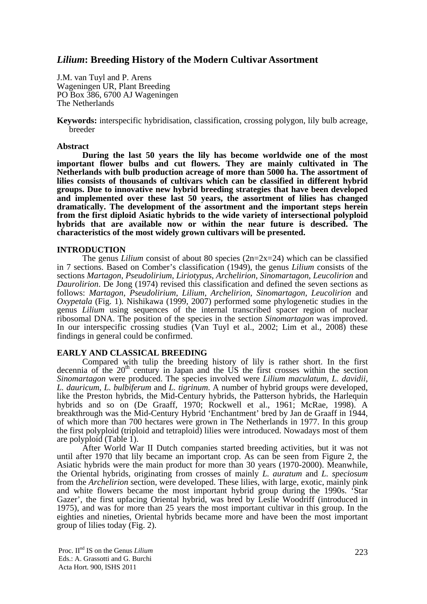# *Lilium***: Breeding History of the Modern Cultivar Assortment**

J.M. van Tuyl and P. Arens Wageningen UR, Plant Breeding PO Box 386, 6700 AJ Wageningen The Netherlands

**Keywords:** interspecific hybridisation, classification, crossing polygon, lily bulb acreage, breeder

### **Abstract**

**During the last 50 years the lily has become worldwide one of the most important flower bulbs and cut flowers. They are mainly cultivated in The Netherlands with bulb production acreage of more than 5000 ha. The assortment of lilies consists of thousands of cultivars which can be classified in different hybrid groups. Due to innovative new hybrid breeding strategies that have been developed and implemented over these last 50 years, the assortment of lilies has changed dramatically. The development of the assortment and the important steps herein from the first diploid Asiatic hybrids to the wide variety of intersectional polyploid hybrids that are available now or within the near future is described. The characteristics of the most widely grown cultivars will be presented.** 

#### **INTRODUCTION**

The genus *Lilium* consist of about 80 species (2n=2x=24) which can be classified in 7 sections. Based on Comber's classification (1949), the genus *Lilium* consists of the sections *Martagon*, *Pseudolirium*, *Liriotypus*, *Archelirion*, *Sinomartagon*, *Leucolirion* and *Daurolirion*. De Jong (1974) revised this classification and defined the seven sections as follows: *Martagon*, *Pseudolirium*, *Lilium*, *Archelirion*, *Sinomartagon*, *Leucolirion* and *Oxypetala* (Fig. 1)*.* Nishikawa (1999, 2007) performed some phylogenetic studies in the genus *Lilium* using sequences of the internal transcribed spacer region of nuclear ribosomal DNA. The position of the species in the section *Sinomartagon* was improved. In our interspecific crossing studies (Van Tuyl et al., 2002; Lim et al., 2008) these findings in general could be confirmed.

## **EARLY AND CLASSICAL BREEDING**

Compared with tulip the breeding history of lily is rather short. In the first decennia of the  $20<sup>th</sup>$  century in Japan and the US the first crosses within the section *Sinomartagon* were produced. The species involved were *Lilium maculatum*, *L. davidii*, *L. dauricum*, *L. bulbiferum* and *L. tigrinum*. A number of hybrid groups were developed, like the Preston hybrids, the Mid-Century hybrids, the Patterson hybrids, the Harlequin hybrids and so on (De Graaff, 1970; Rockwell et al., 1961; McRae, 1998). A breakthrough was the Mid-Century Hybrid 'Enchantment' bred by Jan de Graaff in 1944, of which more than 700 hectares were grown in The Netherlands in 1977. In this group the first polyploid (triploid and tetraploid) lilies were introduced. Nowadays most of them are polyploid (Table 1).

After World War II Dutch companies started breeding activities, but it was not until after 1970 that lily became an important crop. As can be seen from Figure 2, the Asiatic hybrids were the main product for more than 30 years (1970-2000). Meanwhile, the Oriental hybrids, originating from crosses of mainly *L. auratum* and *L. speciosum* from the *Archelirion* section, were developed. These lilies, with large, exotic, mainly pink and white flowers became the most important hybrid group during the 1990s. 'Star Gazer', the first upfacing Oriental hybrid, was bred by Leslie Woodriff (introduced in 1975), and was for more than 25 years the most important cultivar in this group. In the eighties and nineties, Oriental hybrids became more and have been the most important group of lilies today (Fig. 2).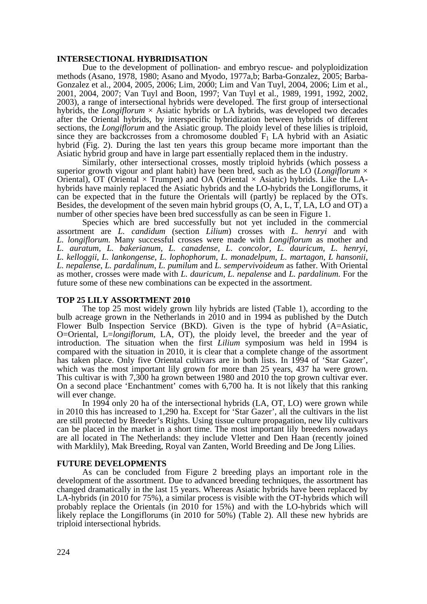## **INTERSECTIONAL HYBRIDISATION**

Due to the development of pollination- and embryo rescue- and polyploidization methods (Asano, 1978, 1980; Asano and Myodo, 1977a,b; Barba-Gonzalez, 2005; Barba-Gonzalez et al., 2004, 2005, 2006; Lim, 2000; Lim and Van Tuyl, 2004, 2006; Lim et al., 2001, 2004, 2007; Van Tuyl and Boon, 1997; Van Tuyl et al., 1989, 1991, 1992, 2002, 2003), a range of intersectional hybrids were developed. The first group of intersectional hybrids, the *Longiflorum*  $\times$  Asiatic hybrids or LA hybrids, was developed two decades after the Oriental hybrids, by interspecific hybridization between hybrids of different sections, the *Longiflorum* and the Asiatic group. The ploidy level of these lilies is triploid, since they are backcrosses from a chromosome doubled  $F_1$  LA hybrid with an Asiatic hybrid (Fig. 2). During the last ten years this group became more important than the Asiatic hybrid group and have in large part essentially replaced them in the industry.

Similarly, other intersectional crosses, mostly triploid hybrids (which possess a superior growth vigour and plant habit) have been bred, such as the LO (*Longiflorum*  $\times$ Oriental), OT (Oriental  $\times$  Trumpet) and OA (Oriental  $\times$  Asiatic) hybrids. Like the LAhybrids have mainly replaced the Asiatic hybrids and the LO-hybrids the Longiflorums, it can be expected that in the future the Orientals will (partly) be replaced by the OTs. Besides, the development of the seven main hybrid groups (O, A, L, T, LA, LO and OT) a number of other species have been bred successfully as can be seen in Figure 1.

Species which are bred successfully but not yet included in the commercial assortment are *L. candidum* (section *Lilium*) crosses with *L. henryi* and with *L. longiflorum.* Many successful crosses were made with *Longiflorum* as mother and L. auratum, L. bakerianum, L. canadense, L. concolor, L. dauricum, L. henryi, L. kelloggii, L. lankongense, L. lophophorum, L. monadelpum, L. martagon, L hansonii, L. nepalense, L. pardalinum, L. pumilum and L. sempervivoi as mother, crosses were made with *L. dauricum*, *L. nepalense* and *L. pardalinum.* For the future some of these new combinations can be expected in the assortment.

#### **TOP 25 LILY ASSORTMENT 2010**

The top 25 most widely grown lily hybrids are listed (Table 1), according to the bulb acreage grown in the Netherlands in 2010 and in 1994 as published by the Dutch Flower Bulb Inspection Service (BKD). Given is the type of hybrid (A=Asiatic, O=Oriental, L=*longiflorum*, LA, OT), the ploidy level, the breeder and the year of introduction. The situation when the first *Lilium* symposium was held in 1994 is compared with the situation in 2010, it is clear that a complete change of the assortment has taken place. Only five Oriental cultivars are in both lists. In 1994 of 'Star Gazer', which was the most important lily grown for more than 25 years, 437 ha were grown. This cultivar is with 7,300 ha grown between 1980 and 2010 the top grown cultivar ever. On a second place 'Enchantment' comes with 6,700 ha. It is not likely that this ranking will ever change.

In 1994 only 20 ha of the intersectional hybrids (LA, OT, LO) were grown while in 2010 this has increased to 1,290 ha. Except for 'Star Gazer', all the cultivars in the list are still protected by Breeder's Rights. Using tissue culture propagation, new lily cultivars can be placed in the market in a short time. The most important lily breeders nowadays are all located in The Netherlands: they include Vletter and Den Haan (recently joined with Marklily), Mak Breeding, Royal van Zanten, World Breeding and De Jong Lilies.

## **FUTURE DEVELOPMENTS**

As can be concluded from Figure 2 breeding plays an important role in the development of the assortment. Due to advanced breeding techniques, the assortment has changed dramatically in the last 15 years. Whereas Asiatic hybrids have been replaced by LA-hybrids (in 2010 for 75%), a similar process is visible with the OT-hybrids which will probably replace the Orientals (in 2010 for 15%) and with the LO-hybrids which will likely replace the Longiflorums (in 2010 for 50%) (Table 2). All these new hybrids are triploid intersectional hybrids.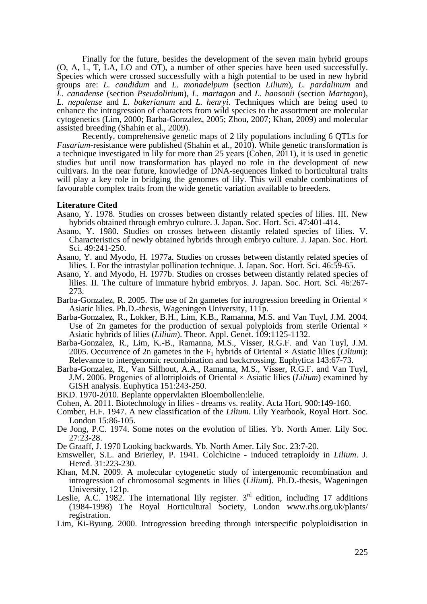Finally for the future, besides the development of the seven main hybrid groups (O, A, L, T, LA, LO and OT), a number of other species have been used successfully. Species which were crossed successfully with a high potential to be used in new hybrid groups are: *L. candidum* and *L. monadelpum* (section *Lilium*), *L. pardalinum* and *L. canadense* (section *Pseudolirium*), *L. martagon* and *L. hansonii* (section *Martagon*), *L. nepalense* and *L. bakerianum* and *L. henryi*. Techniques which are being used to enhance the introgression of characters from wild species to the assortment are molecular cytogenetics (Lim, 2000; Barba-Gonzalez, 2005; Zhou, 2007; Khan, 2009) and molecular assisted breeding (Shahin et al., 2009).

Recently, comprehensive genetic maps of 2 lily populations including 6 QTLs for *Fusarium*-resistance were published (Shahin et al., 2010). While genetic transformation is a technique investigated in lily for more than 25 years (Cohen, 2011), it is used in genetic studies but until now transformation has played no role in the development of new cultivars. In the near future, knowledge of DNA-sequences linked to horticultural traits will play a key role in bridging the genomes of lily. This will enable combinations of favourable complex traits from the wide genetic variation available to breeders.

### **Literature Cited**

- Asano, Y. 1978. Studies on crosses between distantly related species of lilies. III. New hybrids obtained through embryo culture. J. Japan. Soc. Hort. Sci. 47:401-414.
- Asano, Y. 1980. Studies on crosses between distantly related species of lilies. V. Characteristics of newly obtained hybrids through embryo culture. J. Japan. Soc. Hort. Sci. 49:241-250.
- Asano, Y. and Myodo, H. 1977a. Studies on crosses between distantly related species of lilies. I. For the intrastylar pollination technique. J. Japan. Soc. Hort. Sci. 46:59-65.
- Asano, Y. and Myodo, H. 1977b. Studies on crosses between distantly related species of lilies. II. The culture of immature hybrid embryos. J. Japan. Soc. Hort. Sci. 46:267- 273.
- Barba-Gonzalez, R. 2005. The use of 2n gametes for introgression breeding in Oriental  $\times$ Asiatic lilies. Ph.D.-thesis, Wageningen University, 111p.
- Barba-Gonzalez, R., Lokker, B.H., Lim, K.B., Ramanna, M.S. and Van Tuyl, J.M. 2004. Use of 2n gametes for the production of sexual polyploids from sterile Oriental  $\times$ Asiatic hybrids of lilies (*Lilium*). Theor. Appl. Genet. 109:1125-1132.
- Barba-Gonzalez, R., Lim, K.-B., Ramanna, M.S., Visser, R.G.F. and Van Tuyl, J.M. 2005. Occurrence of 2n gametes in the  $F_1$  hybrids of Oriental  $\times$  Asiatic lilies (*Lilium*): Relevance to intergenomic recombination and backcrossing. Euphytica 143:67-73.
- Barba-Gonzalez, R., Van Silfhout, A.A., Ramanna, M.S., Visser, R.G.F. and Van Tuyl, J.M. 2006. Progenies of allotriploids of Oriental × Asiatic lilies (*Lilium*) examined by GISH analysis. Euphytica 151:243-250.
- BKD. 1970-2010. Beplante oppervlakten Bloembollen:lelie.
- Cohen, A. 2011. Biotechnology in lilies dreams vs. reality. Acta Hort. 900:149-160.
- Comber, H.F. 1947. A new classification of the *Lilium*. Lily Yearbook, Royal Hort. Soc. London 15:86-105.
- De Jong, P.C. 1974. Some notes on the evolution of lilies. Yb. North Amer. Lily Soc. 27:23-28.
- De Graaff, J. 1970 Looking backwards. Yb. North Amer. Lily Soc. 23:7-20.
- Emsweller, S.L. and Brierley, P. 1941. Colchicine induced tetraploidy in *Lilium*. J. Hered. 31:223-230.
- Khan, M.N. 2009. A molecular cytogenetic study of intergenomic recombination and introgression of chromosomal segments in lilies (*Lilium*). Ph.D.-thesis, Wageningen University, 121p.
- Leslie, A.C. 1982. The international lily register.  $3<sup>rd</sup>$  edition, including 17 additions (1984-1998) The Royal Horticultural Society, London www.rhs.org.uk/plants/ registration.
- Lim, Ki-Byung. 2000. Introgression breeding through interspecific polyploidisation in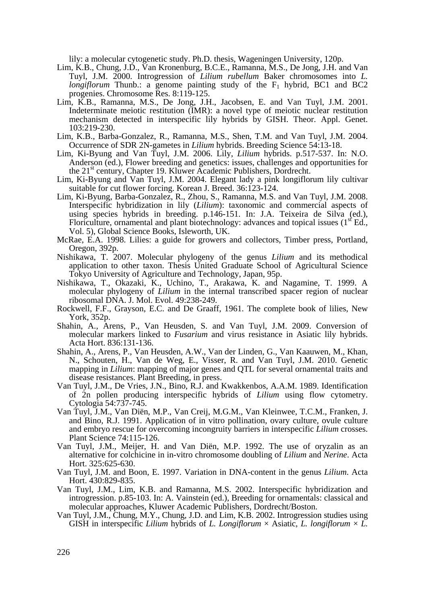lily: a molecular cytogenetic study. Ph.D. thesis, Wageningen University, 120p.

- Lim, K.B., Chung, J.D., Van Kronenburg, B.C.E., Ramanna, M.S., De Jong, J.H. and Van Tuyl, J.M. 2000. Introgression of *Lilium rubellum* Baker chromosomes into *L. longiflorum* Thunb.: a genome painting study of the  $F_1$  hybrid, BC1 and BC2 progenies. Chromosome Res. 8:119-125.
- Lim, K.B., Ramanna, M.S., De Jong, J.H., Jacobsen, E. and Van Tuyl, J.M. 2001. Indeterminate meiotic restitution (IMR): a novel type of meiotic nuclear restitution mechanism detected in interspecific lily hybrids by GISH. Theor. Appl. Genet. 103:219-230.
- Lim, K.B., Barba-Gonzalez, R., Ramanna, M.S., Shen, T.M. and Van Tuyl, J.M. 2004. Occurrence of SDR 2N-gametes in *Lilium* hybrids. Breeding Science 54:13-18.
- Lim, Ki-Byung and Van Tuyl, J.M. 2006. Lily, *Lilium* hybrids. p.517-537. In: N.O. Anderson (ed.), Flower breeding and genetics: issues, challenges and opportunities for the 21<sup>st</sup> century, Chapter 19. Kluwer Academic Publishers, Dordrecht.
- Lim, Ki-Byung and Van Tuyl, J.M. 2004. Elegant lady a pink longiflorum lily cultivar suitable for cut flower forcing. Korean J. Breed. 36:123-124.
- Lim, Ki-Byung, Barba-Gonzalez, R., Zhou, S., Ramanna, M.S. and Van Tuyl, J.M. 2008. Interspecific hybridization in lily (*Lilium*): taxonomic and commercial aspects of using species hybrids in breeding. p.146-151. In: J.A. Teixeira de Silva (ed.), Floriculture, ornamental and plant biotechnology: advances and topical issues  $(1<sup>st</sup> Ed.,$ Vol. 5), Global Science Books, Isleworth, UK.
- McRae, E.A. 1998. Lilies: a guide for growers and collectors, Timber press, Portland, Oregon, 392p.
- Nishikawa, T. 2007. Molecular phylogeny of the genus *Lilium* and its methodical application to other taxon. Thesis United Graduate School of Agricultural Science Tokyo University of Agriculture and Technology, Japan, 95p.
- Nishikawa, T., Okazaki, K., Uchino, T., Arakawa, K. and Nagamine, T. 1999. A molecular phylogeny of *Lilium* in the internal transcribed spacer region of nuclear ribosomal DNA. J. Mol. Evol. 49:238-249.
- Rockwell, F.F., Grayson, E.C. and De Graaff, 1961. The complete book of lilies, New York, 352p.
- Shahin, A., Arens, P., Van Heusden, S. and Van Tuyl, J.M. 2009. Conversion of molecular markers linked to *Fusarium* and virus resistance in Asiatic lily hybrids. Acta Hort. 836:131-136.
- Shahin, A., Arens, P., Van Heusden, A.W., Van der Linden, G., Van Kaauwen, M., Khan, N., Schouten, H., Van de Weg, E., Visser, R. and Van Tuyl, J.M. 2010. Genetic mapping in *Lilium*: mapping of major genes and QTL for several ornamental traits and disease resistances. Plant Breeding, in press.
- Van Tuyl, J.M., De Vries, J.N., Bino, R.J. and Kwakkenbos, A.A.M. 1989. Identification of 2n pollen producing interspecific hybrids of *Lilium* using flow cytometry. Cytologia 54:737-745.
- Van Tuyl, J.M., Van Diën, M.P., Van Creij, M.G.M., Van Kleinwee, T.C.M., Franken, J. and Bino, R.J. 1991. Application of in vitro pollination, ovary culture, ovule culture and embryo rescue for overcoming incongruity barriers in interspecific *Lilium* crosses. Plant Science 74:115-126.
- Van Tuyl, J.M., Meijer, H. and Van Diën, M.P. 1992. The use of oryzalin as an alternative for colchicine in in-vitro chromosome doubling of *Lilium* and *Nerine*. Acta Hort. 325:625-630.
- Van Tuyl, J.M. and Boon, E. 1997. Variation in DNA-content in the genus *Lilium*. Acta Hort. 430:829-835.
- Van Tuyl, J.M., Lim, K.B. and Ramanna, M.S. 2002. Interspecific hybridization and introgression. p.85-103. In: A. Vainstein (ed.), Breeding for ornamentals: classical and molecular approaches, Kluwer Academic Publishers, Dordrecht/Boston.
- Van Tuyl, J.M., Chung, M.Y., Chung, J.D. and Lim, K.B. 2002. Introgression studies using GISH in interspecific *Lilium* hybrids of *L. Longiflorum*  $\times$  Asiatic, *L. longiflorum*  $\times$  *L.*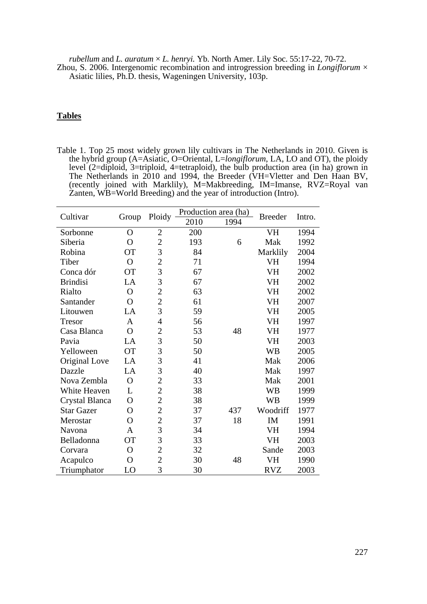*rubellum* and *L. auratum*  $\times$  *L. henryi.* Yb. North Amer. Lily Soc. 55:17-22, 70-72. Zhou, S. 2006. Intergenomic recombination and introgression breeding in *Longiflorum*  $\times$ Asiatic lilies, Ph.D. thesis, Wageningen University, 103p.

## **Tables**

I

Table 1. Top 25 most widely grown lily cultivars in The Netherlands in 2010. Given is the hybrid group (A=Asiatic, O=Oriental, L=*longiflorum*, LA, LO and OT), the ploidy level (2=diploid, 3=triploid, 4=tetraploid), the bulb production area (in ha) grown in The Netherlands in 2010 and 1994, the Breeder (VH=Vletter and Den Haan BV, (recently joined with Marklily), M=Makbreeding, IM=Imanse, RVZ=Royal van Zanten, WB=World Breeding) and the year of introduction (Intro).

| Cultivar          | Group          | Ploidy         | Production area (ha) |      |                |        |
|-------------------|----------------|----------------|----------------------|------|----------------|--------|
|                   |                |                | 2010                 | 1994 | <b>Breeder</b> | Intro. |
| Sorbonne          | $\mathbf O$    | $\overline{c}$ | 200                  |      | VH             | 1994   |
| Siberia           | O              | $\overline{c}$ | 193                  | 6    | Mak            | 1992   |
| Robina            | <b>OT</b>      | 3              | 84                   |      | Marklily       | 2004   |
| Tiber             | $\overline{O}$ | $\overline{c}$ | 71                   |      | VH             | 1994   |
| Conca dór         | <b>OT</b>      | $\overline{3}$ | 67                   |      | VH             | 2002   |
| <b>Brindisi</b>   | LA             | 3              | 67                   |      | VH             | 2002   |
| Rialto            | $\overline{O}$ | $\overline{c}$ | 63                   |      | <b>VH</b>      | 2002   |
| Santander         | $\overline{O}$ | $\overline{c}$ | 61                   |      | VH             | 2007   |
| Litouwen          | LA             | 3              | 59                   |      | <b>VH</b>      | 2005   |
| Tresor            | A              | 4              | 56                   |      | <b>VH</b>      | 1997   |
| Casa Blanca       | $\overline{O}$ | $\overline{c}$ | 53                   | 48   | VH             | 1977   |
| Pavia             | LA             | 3              | 50                   |      | VH             | 2003   |
| Yelloween         | <b>OT</b>      | 3              | 50                   |      | <b>WB</b>      | 2005   |
| Original Love     | LA             | 3              | 41                   |      | Mak            | 2006   |
| Dazzle            | LA             | 3              | 40                   |      | Mak            | 1997   |
| Nova Zembla       | $\overline{O}$ | $\overline{c}$ | 33                   |      | Mak            | 2001   |
| White Heaven      | L              | $\overline{c}$ | 38                   |      | <b>WB</b>      | 1999   |
| Crystal Blanca    | $\mathbf O$    | $\overline{c}$ | 38                   |      | <b>WB</b>      | 1999   |
| <b>Star Gazer</b> | O              | $\frac{2}{2}$  | 37                   | 437  | Woodriff       | 1977   |
| Merostar          | $\overline{O}$ |                | 37                   | 18   | IM             | 1991   |
| Navona            | A              | 3              | 34                   |      | VH             | 1994   |
| Belladonna        | <b>OT</b>      | 3              | 33                   |      | <b>VH</b>      | 2003   |
| Corvara           | $\mathbf O$    | $\overline{c}$ | 32                   |      | Sande          | 2003   |
| Acapulco          | $\overline{O}$ | $\overline{c}$ | 30                   | 48   | VH             | 1990   |
| Triumphator       | LO             | $\overline{3}$ | 30                   |      | <b>RVZ</b>     | 2003   |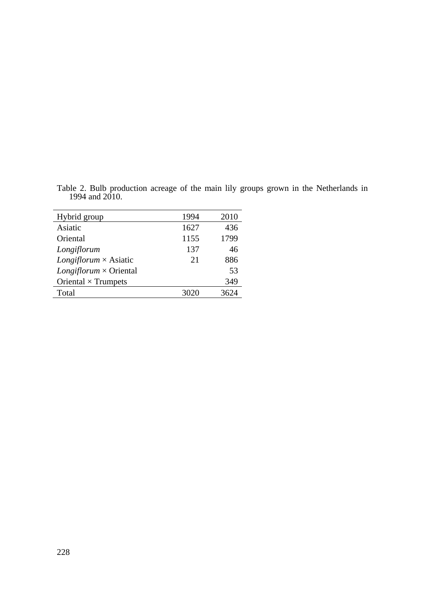Table 2. Bulb production acreage of the main lily groups grown in the Netherlands in 1994 and 2010.

| Hybrid group                        | 1994 | 2010 |
|-------------------------------------|------|------|
| Asiatic                             | 1627 | 436  |
| Oriental                            | 1155 | 1799 |
| Longiflorum                         | 137  | 46   |
| <i>Longiflorum</i> $\times$ Asiatic | 21   | 886  |
| $Longiflorum \times Oriental$       |      | 53   |
| Oriental $\times$ Trumpets          |      | 349  |
| Total                               |      |      |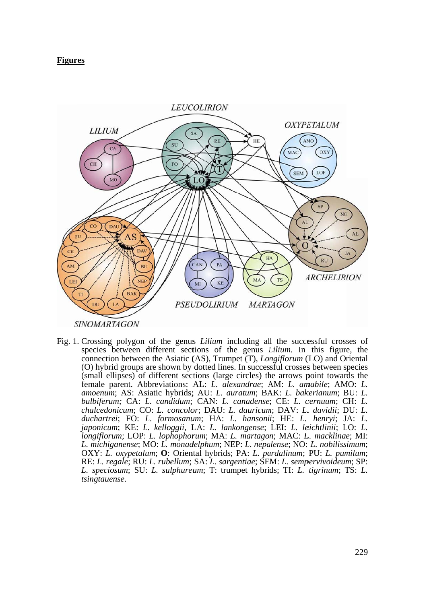## **Figures**



Fig. 1. Crossing polygon of the genus *Lilium* including all the successful crosses of species between different sections of the genus *Lilium*. In this figure, the connection between the Asiatic (AS), Trumpet (T), *Longiflorum* (LO) and Oriental (O) hybrid groups are shown by dotted lines. In successful crosses between species (small ellipses) of different sections (large circles) the arrows point towards the female parent. Abbreviations: AL: *L. alexandrae*; AM: *L. amabile*; AMO: *L.* amoenum; AS: Asiatic hybrids; AU: *L. auratum*; BAK: *L. bakerianum*; BU: *L.* bulbiferum; CA: *L. candidum*; CAN: *L. canadense*; CE: *L. cernuum*; CH: *L.* chalcedonicum; CO: L. concolor; DAU: L. dauricum; DAV: L. davidii; DU: L. duchartrei; FO: *L. formosanum*; HA: *L. hansonii*; HE: *L. henryi*; JA: *L. japonicum m*; KE: *L. kelloggii*, L LA: *L. lan nkongense*; LEI: *L. le eichtlinii*; L LO: *L. longiflorum*; LOP: *L. lophophorum*; MA: *L. martagon*; MAC: *L. macklinae*; MI: L. michiganense; MO: *L. monadelphum*; NEP: *L. nepalense*; NO: *L. nobilissimum*; OXY: *L. oxypetalum*; O: Oriental hybrids; PA: *L. pardalinum*; PU: *L. pumilum*; RE: *L. regale*; RU: *L. rubellum*; SA: *L. sargentiae*; SEM: *L. sempervivoideum*; SP: *L. speciosum*; SU: *L. sulphureum*; T: trumpet hybrids; TI: *L. tigrinum*; TS: *L. tsingtauen nse*.